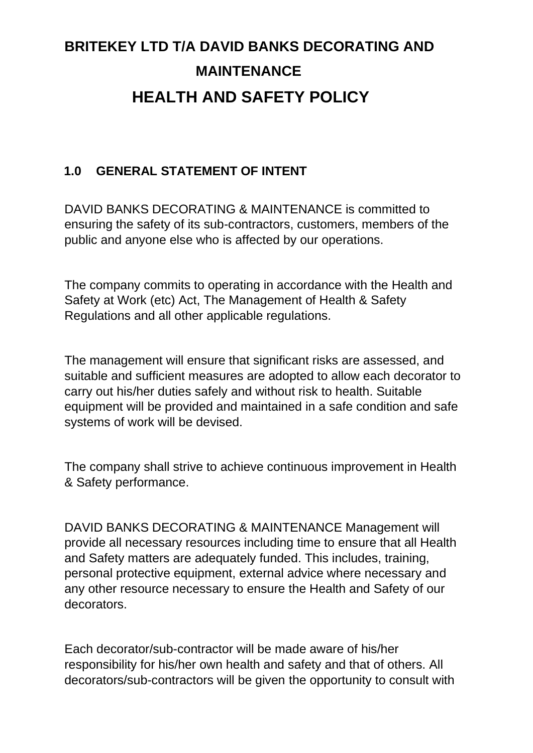# **BRITEKEY LTD T/A DAVID BANKS DECORATING AND MAINTENANCE HEALTH AND SAFETY POLICY**

#### **1.0 GENERAL STATEMENT OF INTENT**

DAVID BANKS DECORATING & MAINTENANCE is committed to ensuring the safety of its sub-contractors, customers, members of the public and anyone else who is affected by our operations.

The company commits to operating in accordance with the Health and Safety at Work (etc) Act, The Management of Health & Safety Regulations and all other applicable regulations.

The management will ensure that significant risks are assessed, and suitable and sufficient measures are adopted to allow each decorator to carry out his/her duties safely and without risk to health. Suitable equipment will be provided and maintained in a safe condition and safe systems of work will be devised.

The company shall strive to achieve continuous improvement in Health & Safety performance.

DAVID BANKS DECORATING & MAINTENANCE Management will provide all necessary resources including time to ensure that all Health and Safety matters are adequately funded. This includes, training, personal protective equipment, external advice where necessary and any other resource necessary to ensure the Health and Safety of our decorators.

Each decorator/sub-contractor will be made aware of his/her responsibility for his/her own health and safety and that of others. All decorators/sub-contractors will be given the opportunity to consult with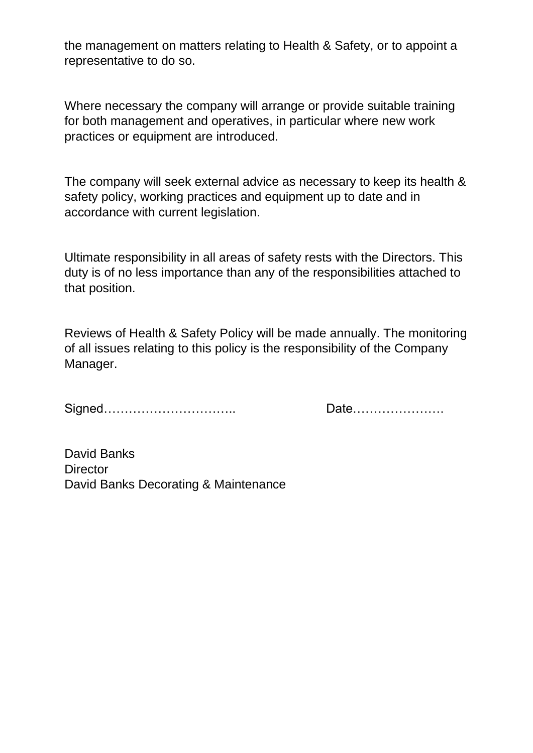the management on matters relating to Health & Safety, or to appoint a representative to do so.

Where necessary the company will arrange or provide suitable training for both management and operatives, in particular where new work practices or equipment are introduced.

The company will seek external advice as necessary to keep its health & safety policy, working practices and equipment up to date and in accordance with current legislation.

Ultimate responsibility in all areas of safety rests with the Directors. This duty is of no less importance than any of the responsibilities attached to that position.

Reviews of Health & Safety Policy will be made annually. The monitoring of all issues relating to this policy is the responsibility of the Company Manager.

Signed………………………….. Date………………….

David Banks **Director** David Banks Decorating & Maintenance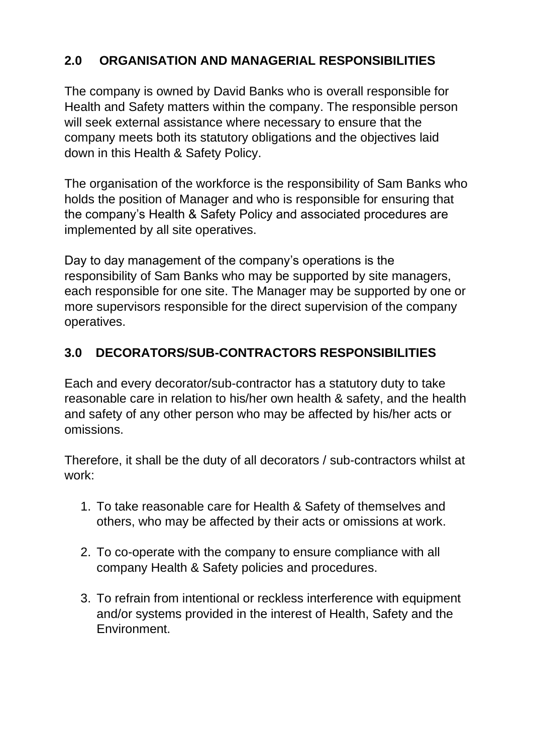## **2.0 ORGANISATION AND MANAGERIAL RESPONSIBILITIES**

The company is owned by David Banks who is overall responsible for Health and Safety matters within the company. The responsible person will seek external assistance where necessary to ensure that the company meets both its statutory obligations and the objectives laid down in this Health & Safety Policy.

The organisation of the workforce is the responsibility of Sam Banks who holds the position of Manager and who is responsible for ensuring that the company's Health & Safety Policy and associated procedures are implemented by all site operatives.

Day to day management of the company's operations is the responsibility of Sam Banks who may be supported by site managers, each responsible for one site. The Manager may be supported by one or more supervisors responsible for the direct supervision of the company operatives.

## **3.0 DECORATORS/SUB-CONTRACTORS RESPONSIBILITIES**

Each and every decorator/sub-contractor has a statutory duty to take reasonable care in relation to his/her own health & safety, and the health and safety of any other person who may be affected by his/her acts or omissions.

Therefore, it shall be the duty of all decorators / sub-contractors whilst at work:

- 1. To take reasonable care for Health & Safety of themselves and others, who may be affected by their acts or omissions at work.
- 2. To co-operate with the company to ensure compliance with all company Health & Safety policies and procedures.
- 3. To refrain from intentional or reckless interference with equipment and/or systems provided in the interest of Health, Safety and the Environment.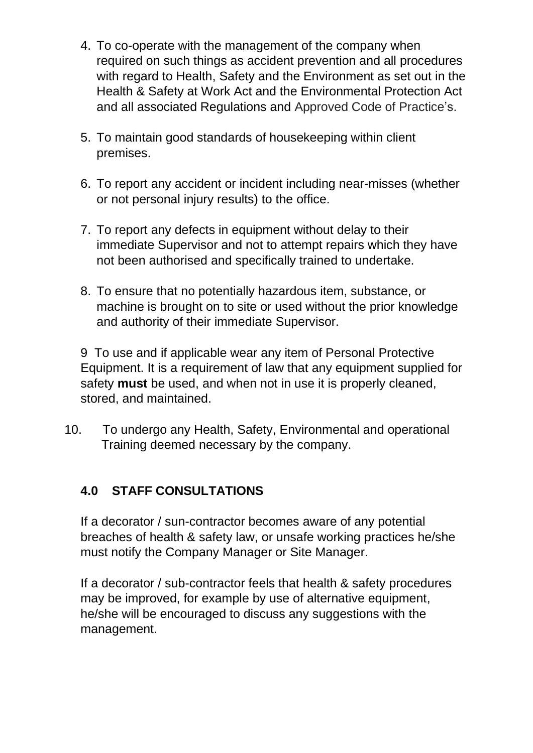- 4. To co-operate with the management of the company when required on such things as accident prevention and all procedures with regard to Health, Safety and the Environment as set out in the Health & Safety at Work Act and the Environmental Protection Act and all associated Regulations and Approved Code of Practice's.
- 5. To maintain good standards of housekeeping within client premises.
- 6. To report any accident or incident including near-misses (whether or not personal injury results) to the office.
- 7. To report any defects in equipment without delay to their immediate Supervisor and not to attempt repairs which they have not been authorised and specifically trained to undertake.
- 8. To ensure that no potentially hazardous item, substance, or machine is brought on to site or used without the prior knowledge and authority of their immediate Supervisor.

9 To use and if applicable wear any item of Personal Protective Equipment. It is a requirement of law that any equipment supplied for safety **must** be used, and when not in use it is properly cleaned, stored, and maintained.

10. To undergo any Health, Safety, Environmental and operational Training deemed necessary by the company.

## **4.0 STAFF CONSULTATIONS**

If a decorator / sun-contractor becomes aware of any potential breaches of health & safety law, or unsafe working practices he/she must notify the Company Manager or Site Manager.

If a decorator / sub-contractor feels that health & safety procedures may be improved, for example by use of alternative equipment, he/she will be encouraged to discuss any suggestions with the management.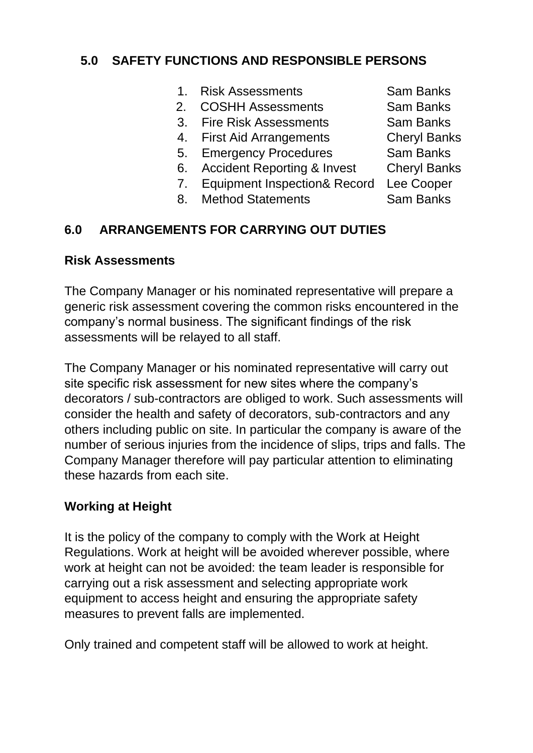#### **5.0 SAFETY FUNCTIONS AND RESPONSIBLE PERSONS**

- 1. Risk Assessments Sam Banks
- 2. COSHH Assessments Sam Banks
- 3. Fire Risk Assessments Sam Banks
- 4. First Aid Arrangements Cheryl Banks
- 5. Emergency Procedures Sam Banks
- 6. Accident Reporting & Invest Cheryl Banks
- 7. Equipment Inspection& Record Lee Cooper
- 8. Method Statements Sam Banks

#### **6.0 ARRANGEMENTS FOR CARRYING OUT DUTIES**

#### **Risk Assessments**

The Company Manager or his nominated representative will prepare a generic risk assessment covering the common risks encountered in the company's normal business. The significant findings of the risk assessments will be relayed to all staff.

The Company Manager or his nominated representative will carry out site specific risk assessment for new sites where the company's decorators / sub-contractors are obliged to work. Such assessments will consider the health and safety of decorators, sub-contractors and any others including public on site. In particular the company is aware of the number of serious injuries from the incidence of slips, trips and falls. The Company Manager therefore will pay particular attention to eliminating these hazards from each site.

#### **Working at Height**

It is the policy of the company to comply with the Work at Height Regulations. Work at height will be avoided wherever possible, where work at height can not be avoided: the team leader is responsible for carrying out a risk assessment and selecting appropriate work equipment to access height and ensuring the appropriate safety measures to prevent falls are implemented.

Only trained and competent staff will be allowed to work at height.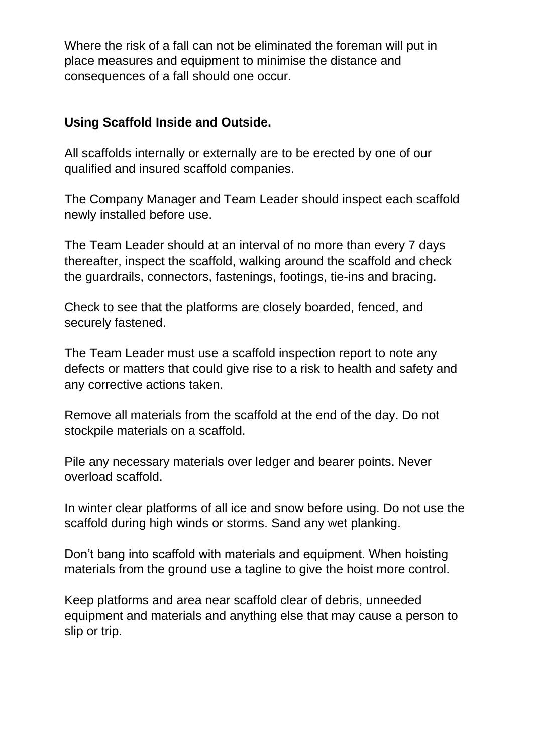Where the risk of a fall can not be eliminated the foreman will put in place measures and equipment to minimise the distance and consequences of a fall should one occur.

#### **Using Scaffold Inside and Outside.**

All scaffolds internally or externally are to be erected by one of our qualified and insured scaffold companies.

The Company Manager and Team Leader should inspect each scaffold newly installed before use.

The Team Leader should at an interval of no more than every 7 days thereafter, inspect the scaffold, walking around the scaffold and check the guardrails, connectors, fastenings, footings, tie-ins and bracing.

Check to see that the platforms are closely boarded, fenced, and securely fastened.

The Team Leader must use a scaffold inspection report to note any defects or matters that could give rise to a risk to health and safety and any corrective actions taken.

Remove all materials from the scaffold at the end of the day. Do not stockpile materials on a scaffold.

Pile any necessary materials over ledger and bearer points. Never overload scaffold.

In winter clear platforms of all ice and snow before using. Do not use the scaffold during high winds or storms. Sand any wet planking.

Don't bang into scaffold with materials and equipment. When hoisting materials from the ground use a tagline to give the hoist more control.

Keep platforms and area near scaffold clear of debris, unneeded equipment and materials and anything else that may cause a person to slip or trip.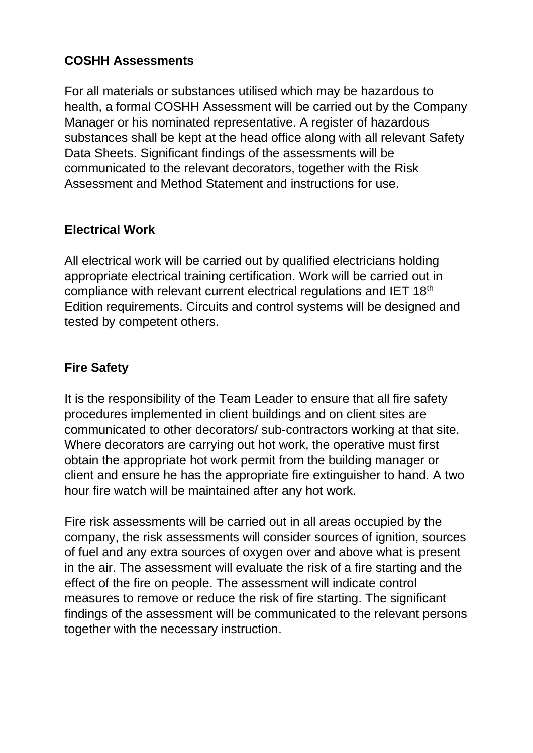### **COSHH Assessments**

For all materials or substances utilised which may be hazardous to health, a formal COSHH Assessment will be carried out by the Company Manager or his nominated representative. A register of hazardous substances shall be kept at the head office along with all relevant Safety Data Sheets. Significant findings of the assessments will be communicated to the relevant decorators, together with the Risk Assessment and Method Statement and instructions for use.

## **Electrical Work**

All electrical work will be carried out by qualified electricians holding appropriate electrical training certification. Work will be carried out in compliance with relevant current electrical regulations and IET 18<sup>th</sup> Edition requirements. Circuits and control systems will be designed and tested by competent others.

#### **Fire Safety**

It is the responsibility of the Team Leader to ensure that all fire safety procedures implemented in client buildings and on client sites are communicated to other decorators/ sub-contractors working at that site. Where decorators are carrying out hot work, the operative must first obtain the appropriate hot work permit from the building manager or client and ensure he has the appropriate fire extinguisher to hand. A two hour fire watch will be maintained after any hot work.

Fire risk assessments will be carried out in all areas occupied by the company, the risk assessments will consider sources of ignition, sources of fuel and any extra sources of oxygen over and above what is present in the air. The assessment will evaluate the risk of a fire starting and the effect of the fire on people. The assessment will indicate control measures to remove or reduce the risk of fire starting. The significant findings of the assessment will be communicated to the relevant persons together with the necessary instruction.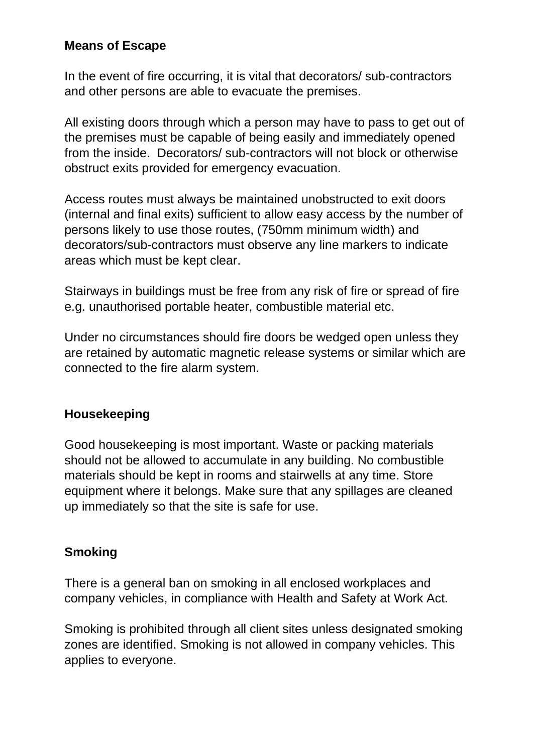#### **Means of Escape**

In the event of fire occurring, it is vital that decorators/ sub-contractors and other persons are able to evacuate the premises.

All existing doors through which a person may have to pass to get out of the premises must be capable of being easily and immediately opened from the inside. Decorators/ sub-contractors will not block or otherwise obstruct exits provided for emergency evacuation.

Access routes must always be maintained unobstructed to exit doors (internal and final exits) sufficient to allow easy access by the number of persons likely to use those routes, (750mm minimum width) and decorators/sub-contractors must observe any line markers to indicate areas which must be kept clear.

Stairways in buildings must be free from any risk of fire or spread of fire e.g. unauthorised portable heater, combustible material etc.

Under no circumstances should fire doors be wedged open unless they are retained by automatic magnetic release systems or similar which are connected to the fire alarm system.

#### **Housekeeping**

Good housekeeping is most important. Waste or packing materials should not be allowed to accumulate in any building. No combustible materials should be kept in rooms and stairwells at any time. Store equipment where it belongs. Make sure that any spillages are cleaned up immediately so that the site is safe for use.

#### **Smoking**

There is a general ban on smoking in all enclosed workplaces and company vehicles, in compliance with Health and Safety at Work Act.

Smoking is prohibited through all client sites unless designated smoking zones are identified. Smoking is not allowed in company vehicles. This applies to everyone.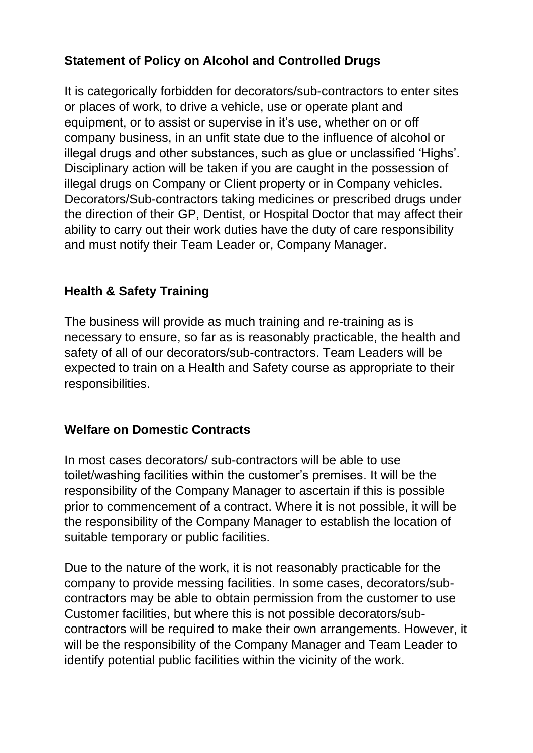## **Statement of Policy on Alcohol and Controlled Drugs**

It is categorically forbidden for decorators/sub-contractors to enter sites or places of work, to drive a vehicle, use or operate plant and equipment, or to assist or supervise in it's use, whether on or off company business, in an unfit state due to the influence of alcohol or illegal drugs and other substances, such as glue or unclassified 'Highs'. Disciplinary action will be taken if you are caught in the possession of illegal drugs on Company or Client property or in Company vehicles. Decorators/Sub-contractors taking medicines or prescribed drugs under the direction of their GP, Dentist, or Hospital Doctor that may affect their ability to carry out their work duties have the duty of care responsibility and must notify their Team Leader or, Company Manager.

#### **Health & Safety Training**

The business will provide as much training and re-training as is necessary to ensure, so far as is reasonably practicable, the health and safety of all of our decorators/sub-contractors. Team Leaders will be expected to train on a Health and Safety course as appropriate to their responsibilities.

#### **Welfare on Domestic Contracts**

In most cases decorators/ sub-contractors will be able to use toilet/washing facilities within the customer's premises. It will be the responsibility of the Company Manager to ascertain if this is possible prior to commencement of a contract. Where it is not possible, it will be the responsibility of the Company Manager to establish the location of suitable temporary or public facilities.

Due to the nature of the work, it is not reasonably practicable for the company to provide messing facilities. In some cases, decorators/subcontractors may be able to obtain permission from the customer to use Customer facilities, but where this is not possible decorators/subcontractors will be required to make their own arrangements. However, it will be the responsibility of the Company Manager and Team Leader to identify potential public facilities within the vicinity of the work.